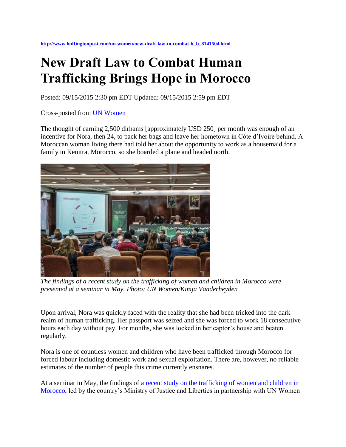**[http://www.huffingtonpost.com/un-women/new-draft-law-to-combat-h\\_b\\_8141504.html](http://www.huffingtonpost.com/un-women/new-draft-law-to-combat-h_b_8141504.html)**

## **New Draft Law to Combat Human Trafficking Brings Hope in Morocco**

Posted: 09/15/2015 2:30 pm EDT Updated: 09/15/2015 2:59 pm EDT

Cross-posted from [UN Women](http://www.unwomen.org/en/news/stories/2015/9/new-draft-law-to-combat-human-trafficking-brings-hope-in-morocco)

The thought of earning 2,500 dirhams [approximately USD 250] per month was enough of an incentive for Nora, then 24, to pack her bags and leave her hometown in Côte d'Ivoire behind. A Moroccan woman living there had told her about the opportunity to work as a housemaid for a family in Kenitra, Morocco, so she boarded a plane and headed north.



*The findings of a recent study on the trafficking of women and children in Morocco were presented at a seminar in May. Photo: UN Women/Kimja Vanderheyden*

Upon arrival, Nora was quickly faced with the reality that she had been tricked into the dark realm of human trafficking. Her passport was seized and she was forced to work 18 consecutive hours each day without pay. For months, she was locked in her captor's house and beaten regularly.

Nora is one of countless women and children who have been trafficked through Morocco for forced labour including domestic work and sexual exploitation. There are, however, no reliable estimates of the number of people this crime currently ensnares.

At a seminar in May, the findings of [a recent study on the trafficking of women](http://maghreb.unwomen.org/fr/ressources-medias/publications/2015/03/la-traite-des-femmes-et-des-enfants-au-maroc) and children in [Morocco,](http://maghreb.unwomen.org/fr/ressources-medias/publications/2015/03/la-traite-des-femmes-et-des-enfants-au-maroc) led by the country's Ministry of Justice and Liberties in partnership with UN Women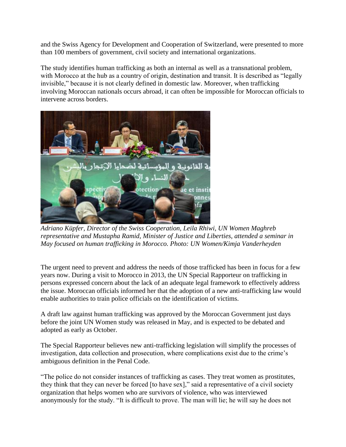and the Swiss Agency for Development and Cooperation of Switzerland, were presented to more than 100 members of government, civil society and international organizations.

The study identifies human trafficking as both an internal as well as a transnational problem, with Morocco at the hub as a country of origin, destination and transit. It is described as "legally" invisible," because it is not clearly defined in domestic law. Moreover, when trafficking involving Moroccan nationals occurs abroad, it can often be impossible for Moroccan officials to intervene across borders.



*Adriano Küpfer, Director of the Swiss Cooperation, Leila Rhiwi, UN Women Maghreb representative and Mustapha Ramid, Minister of Justice and Liberties, attended a seminar in May focused on human trafficking in Morocco. Photo: UN Women/Kimja Vanderheyden*

The urgent need to prevent and address the needs of those trafficked has been in focus for a few years now. During a visit to Morocco in 2013, the UN Special Rapporteur on trafficking in persons expressed concern about the lack of an adequate legal framework to effectively address the issue. Moroccan officials informed her that the adoption of a new anti-trafficking law would enable authorities to train police officials on the identification of victims.

A draft law against human trafficking was approved by the Moroccan Government just days before the joint UN Women study was released in May, and is expected to be debated and adopted as early as October.

The Special Rapporteur believes new anti-trafficking legislation will simplify the processes of investigation, data collection and prosecution, where complications exist due to the crime's ambiguous definition in the Penal Code.

"The police do not consider instances of trafficking as cases. They treat women as prostitutes, they think that they can never be forced [to have sex]," said a representative of a civil society organization that helps women who are survivors of violence, who was interviewed anonymously for the study. "It is difficult to prove. The man will lie; he will say he does not